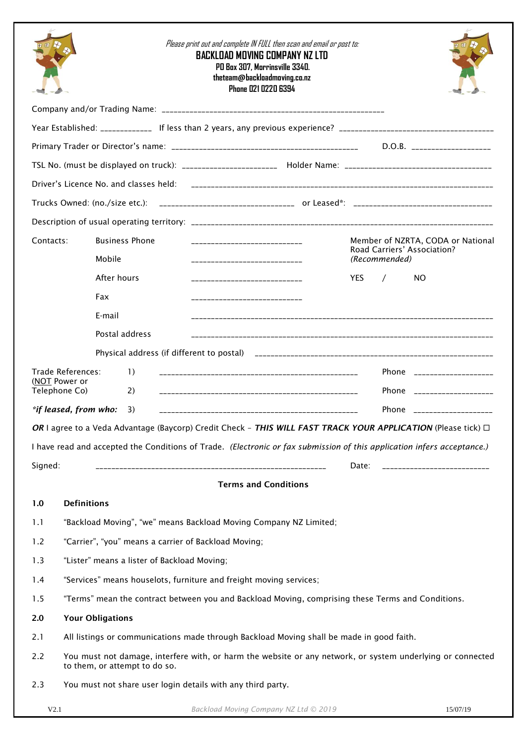|               |                                                             |                                                                                                                                             |                  |  |  | <b>BACKLOAD MOVING COMPANY NZ LTD</b><br>PO Box 307, Morrinsville 3340.<br>theteam@backloadmoving.co.nz | Phone 021 0220 6394 |  | Please print out and complete IN FULL then scan and email or post to:             |       |  |     |                                                                                                                                                                                                                                |  |
|---------------|-------------------------------------------------------------|---------------------------------------------------------------------------------------------------------------------------------------------|------------------|--|--|---------------------------------------------------------------------------------------------------------|---------------------|--|-----------------------------------------------------------------------------------|-------|--|-----|--------------------------------------------------------------------------------------------------------------------------------------------------------------------------------------------------------------------------------|--|
|               |                                                             |                                                                                                                                             |                  |  |  |                                                                                                         |                     |  |                                                                                   |       |  |     |                                                                                                                                                                                                                                |  |
|               |                                                             |                                                                                                                                             |                  |  |  |                                                                                                         |                     |  |                                                                                   |       |  |     |                                                                                                                                                                                                                                |  |
|               |                                                             |                                                                                                                                             |                  |  |  |                                                                                                         |                     |  |                                                                                   |       |  |     | $D.O.B.$ ______________________                                                                                                                                                                                                |  |
|               |                                                             |                                                                                                                                             |                  |  |  |                                                                                                         |                     |  |                                                                                   |       |  |     | TSL No. (must be displayed on truck): _________________________ Holder Name: _________________________________                                                                                                                 |  |
|               |                                                             |                                                                                                                                             |                  |  |  |                                                                                                         |                     |  |                                                                                   |       |  |     |                                                                                                                                                                                                                                |  |
|               |                                                             |                                                                                                                                             |                  |  |  |                                                                                                         |                     |  |                                                                                   |       |  |     |                                                                                                                                                                                                                                |  |
|               |                                                             |                                                                                                                                             |                  |  |  |                                                                                                         |                     |  |                                                                                   |       |  |     |                                                                                                                                                                                                                                |  |
| Contacts:     |                                                             | <b>Business Phone</b><br>_____________________________                                                                                      |                  |  |  |                                                                                                         |                     |  | Member of NZRTA, CODA or National<br>Road Carriers' Association?<br>(Recommended) |       |  |     |                                                                                                                                                                                                                                |  |
|               |                                                             | Mobile<br>_______________________________                                                                                                   |                  |  |  |                                                                                                         |                     |  |                                                                                   |       |  |     |                                                                                                                                                                                                                                |  |
|               |                                                             | After hours                                                                                                                                 |                  |  |  | _____________________________                                                                           |                     |  |                                                                                   | YES.  |  | NO. |                                                                                                                                                                                                                                |  |
|               |                                                             | Fax                                                                                                                                         |                  |  |  | -----------------------------                                                                           |                     |  |                                                                                   |       |  |     |                                                                                                                                                                                                                                |  |
|               |                                                             | E-mail                                                                                                                                      |                  |  |  |                                                                                                         |                     |  |                                                                                   |       |  |     |                                                                                                                                                                                                                                |  |
|               |                                                             | Postal address                                                                                                                              |                  |  |  |                                                                                                         |                     |  |                                                                                   |       |  |     |                                                                                                                                                                                                                                |  |
|               |                                                             |                                                                                                                                             |                  |  |  |                                                                                                         |                     |  |                                                                                   |       |  |     |                                                                                                                                                                                                                                |  |
| (NOT Power or | Trade References:                                           |                                                                                                                                             | $\left  \right $ |  |  |                                                                                                         |                     |  |                                                                                   |       |  |     | Phone in the contract of the contract of the contract of the contract of the contract of the contract of the contract of the contract of the contract of the contract of the contract of the contract of the contract of the c |  |
| Telephone Co) |                                                             |                                                                                                                                             | 2)               |  |  |                                                                                                         |                     |  |                                                                                   |       |  |     | Phone _____________________                                                                                                                                                                                                    |  |
|               | *if leased, from who:                                       |                                                                                                                                             | 3)               |  |  |                                                                                                         |                     |  |                                                                                   |       |  |     | Phone _____________________                                                                                                                                                                                                    |  |
|               |                                                             |                                                                                                                                             |                  |  |  |                                                                                                         |                     |  |                                                                                   |       |  |     | OR I agree to a Veda Advantage (Baycorp) Credit Check - THIS WILL FAST TRACK YOUR APPLICATION (Please tick) □                                                                                                                  |  |
|               |                                                             |                                                                                                                                             |                  |  |  |                                                                                                         |                     |  |                                                                                   |       |  |     | I have read and accepted the Conditions of Trade. (Electronic or fax submission of this application infers acceptance.)                                                                                                        |  |
| Signed:       |                                                             |                                                                                                                                             |                  |  |  |                                                                                                         |                     |  |                                                                                   | Date: |  |     | _____________________________                                                                                                                                                                                                  |  |
|               |                                                             |                                                                                                                                             |                  |  |  | <b>Terms and Conditions</b>                                                                             |                     |  |                                                                                   |       |  |     |                                                                                                                                                                                                                                |  |
| 1.0           | <b>Definitions</b>                                          |                                                                                                                                             |                  |  |  |                                                                                                         |                     |  |                                                                                   |       |  |     |                                                                                                                                                                                                                                |  |
| 1.1           |                                                             | "Backload Moving", "we" means Backload Moving Company NZ Limited;                                                                           |                  |  |  |                                                                                                         |                     |  |                                                                                   |       |  |     |                                                                                                                                                                                                                                |  |
| 1.2           |                                                             | "Carrier", "you" means a carrier of Backload Moving;                                                                                        |                  |  |  |                                                                                                         |                     |  |                                                                                   |       |  |     |                                                                                                                                                                                                                                |  |
| 1.3           |                                                             | "Lister" means a lister of Backload Moving;                                                                                                 |                  |  |  |                                                                                                         |                     |  |                                                                                   |       |  |     |                                                                                                                                                                                                                                |  |
| 1.4           |                                                             | "Services" means houselots, furniture and freight moving services;                                                                          |                  |  |  |                                                                                                         |                     |  |                                                                                   |       |  |     |                                                                                                                                                                                                                                |  |
| 1.5           |                                                             | "Terms" mean the contract between you and Backload Moving, comprising these Terms and Conditions.                                           |                  |  |  |                                                                                                         |                     |  |                                                                                   |       |  |     |                                                                                                                                                                                                                                |  |
| 2.0           |                                                             | <b>Your Obligations</b>                                                                                                                     |                  |  |  |                                                                                                         |                     |  |                                                                                   |       |  |     |                                                                                                                                                                                                                                |  |
| 2.1           |                                                             | All listings or communications made through Backload Moving shall be made in good faith.                                                    |                  |  |  |                                                                                                         |                     |  |                                                                                   |       |  |     |                                                                                                                                                                                                                                |  |
| 2.2           |                                                             | You must not damage, interfere with, or harm the website or any network, or system underlying or connected<br>to them, or attempt to do so. |                  |  |  |                                                                                                         |                     |  |                                                                                   |       |  |     |                                                                                                                                                                                                                                |  |
| 2.3           | You must not share user login details with any third party. |                                                                                                                                             |                  |  |  |                                                                                                         |                     |  |                                                                                   |       |  |     |                                                                                                                                                                                                                                |  |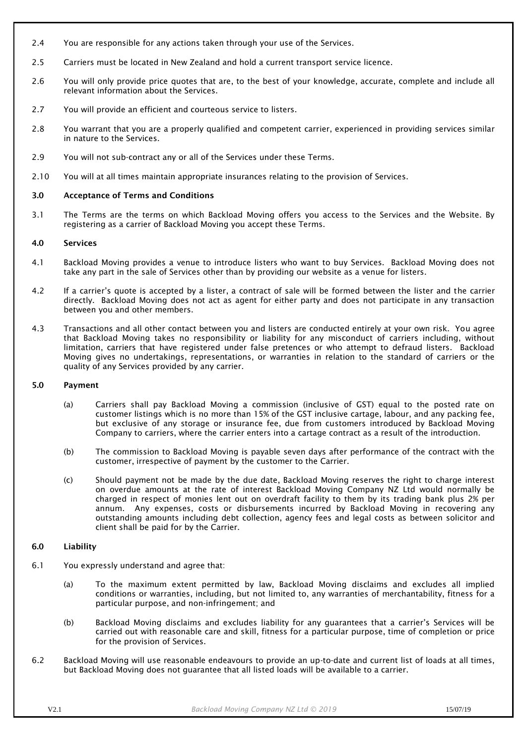- 2.4 You are responsible for any actions taken through your use of the Services.
- 2.5 Carriers must be located in New Zealand and hold a current transport service licence.
- 2.6 You will only provide price quotes that are, to the best of your knowledge, accurate, complete and include all relevant information about the Services.
- 2.7 You will provide an efficient and courteous service to listers.
- 2.8 You warrant that you are a properly qualified and competent carrier, experienced in providing services similar in nature to the Services.
- 2.9 You will not sub-contract any or all of the Services under these Terms.
- 2.10 You will at all times maintain appropriate insurances relating to the provision of Services.

## 3.0 Acceptance of Terms and Conditions

3.1 The Terms are the terms on which Backload Moving offers you access to the Services and the Website. By registering as a carrier of Backload Moving you accept these Terms.

## 4.0 Services

- 4.1 Backload Moving provides a venue to introduce listers who want to buy Services. Backload Moving does not take any part in the sale of Services other than by providing our website as a venue for listers.
- 4.2 If a carrier's quote is accepted by a lister, a contract of sale will be formed between the lister and the carrier directly. Backload Moving does not act as agent for either party and does not participate in any transaction between you and other members.
- 4.3 Transactions and all other contact between you and listers are conducted entirely at your own risk. You agree that Backload Moving takes no responsibility or liability for any misconduct of carriers including, without limitation, carriers that have registered under false pretences or who attempt to defraud listers. Backload Moving gives no undertakings, representations, or warranties in relation to the standard of carriers or the quality of any Services provided by any carrier.

## 5.0 Payment

- (a) Carriers shall pay Backload Moving a commission (inclusive of GST) equal to the posted rate on customer listings which is no more than 15% of the GST inclusive cartage, labour, and any packing fee, but exclusive of any storage or insurance fee, due from customers introduced by Backload Moving Company to carriers, where the carrier enters into a cartage contract as a result of the introduction.
- (b) The commission to Backload Moving is payable seven days after performance of the contract with the customer, irrespective of payment by the customer to the Carrier.
- (c) Should payment not be made by the due date, Backload Moving reserves the right to charge interest on overdue amounts at the rate of interest Backload Moving Company NZ Ltd would normally be charged in respect of monies lent out on overdraft facility to them by its trading bank plus 2% per annum. Any expenses, costs or disbursements incurred by Backload Moving in recovering any outstanding amounts including debt collection, agency fees and legal costs as between solicitor and client shall be paid for by the Carrier.

# 6.0 Liability

- 6.1 You expressly understand and agree that:
	- (a) To the maximum extent permitted by law, Backload Moving disclaims and excludes all implied conditions or warranties, including, but not limited to, any warranties of merchantability, fitness for a particular purpose, and non-infringement; and
	- (b) Backload Moving disclaims and excludes liability for any guarantees that a carrier's Services will be carried out with reasonable care and skill, fitness for a particular purpose, time of completion or price for the provision of Services.
- 6.2 Backload Moving will use reasonable endeavours to provide an up-to-date and current list of loads at all times, but Backload Moving does not guarantee that all listed loads will be available to a carrier.